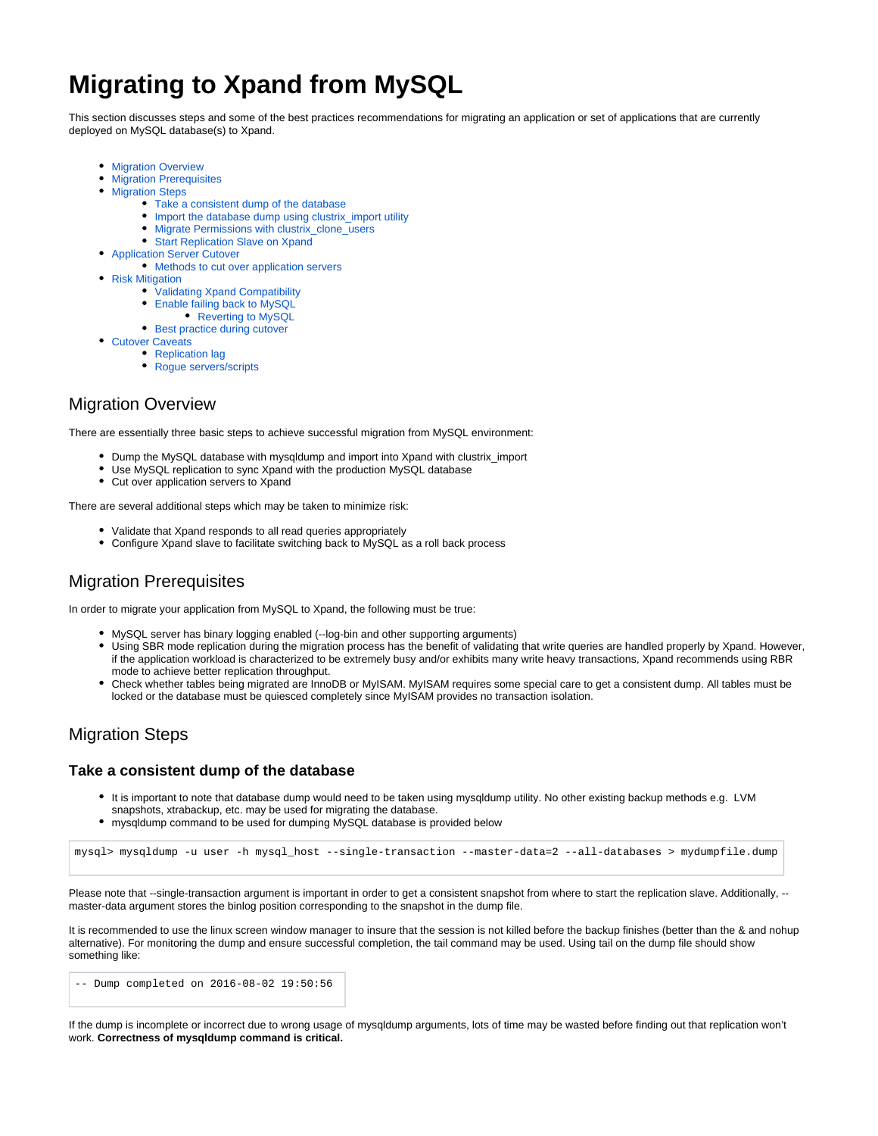# **Migrating to Xpand from MySQL**

This section discusses steps and some of the best practices recommendations for migrating an application or set of applications that are currently deployed on MySQL database(s) to Xpand.

- [Migration Overview](#page-0-0)
- **[Migration Prerequisites](#page-0-1)**
- [Migration Steps](#page-0-2)
	- [Take a consistent dump of the database](#page-0-3)
	- [Import the database dump using clustrix\\_import utility](#page-0-4)
	- [Migrate Permissions with clustrix\\_clone\\_users](#page-1-0)
	- [Start Replication Slave on Xpand](#page-1-1)
- [Application Server Cutover](#page-1-2)
- [Methods to cut over application servers](#page-1-3)
- [Risk Mitigation](#page-1-4)
	- [Validating Xpand Compatibility](#page-1-5)
	- [Enable failing back to MySQL](#page-2-0)
		- [Reverting to MySQL](#page-2-1)
	- [Best practice during cutover](#page-2-2)
- [Cutover Caveats](#page-2-3)
	- [Replication lag](#page-2-4)
	- Roque servers/scripts

# <span id="page-0-0"></span>Migration Overview

There are essentially three basic steps to achieve successful migration from MySQL environment:

- Dump the MySQL database with mysqldump and import into Xpand with clustrix\_import
- Use MySQL replication to sync Xpand with the production MySQL database
- Cut over application servers to Xpand

There are several additional steps which may be taken to minimize risk:

- Validate that Xpand responds to all read queries appropriately
- Configure Xpand slave to facilitate switching back to MySQL as a roll back process

# <span id="page-0-1"></span>Migration Prerequisites

In order to migrate your application from MySQL to Xpand, the following must be true:

- MySQL server has binary logging enabled (--log-bin and other supporting arguments)
- Using SBR mode replication during the migration process has the benefit of validating that write queries are handled properly by Xpand. However, if the application workload is characterized to be extremely busy and/or exhibits many write heavy transactions, Xpand recommends using RBR mode to achieve better replication throughput.
- Check whether tables being migrated are InnoDB or MyISAM. MyISAM requires some special care to get a consistent dump. All tables must be locked or the database must be quiesced completely since MyISAM provides no transaction isolation.

# <span id="page-0-2"></span>Migration Steps

## <span id="page-0-3"></span>**Take a consistent dump of the database**

- It is important to note that database dump would need to be taken using mysqldump utility. No other existing backup methods e.g. LVM snapshots, xtrabackup, etc. may be used for migrating the database.
- mysqldump command to be used for dumping MySQL database is provided below

```
mysql> mysqldump -u user -h mysql_host --single-transaction --master-data=2 --all-databases > mydumpfile.dump
```
Please note that --single-transaction argument is important in order to get a consistent snapshot from where to start the replication slave. Additionally, -master-data argument stores the binlog position corresponding to the snapshot in the dump file.

It is recommended to use the linux screen window manager to insure that the session is not killed before the backup finishes (better than the & and nohup alternative). For monitoring the dump and ensure successful completion, the tail command may be used. Using tail on the dump file should show something like:

-- Dump completed on 2016-08-02 19:50:56

<span id="page-0-4"></span>If the dump is incomplete or incorrect due to wrong usage of mysqldump arguments, lots of time may be wasted before finding out that replication won't work. **Correctness of mysqldump command is critical.**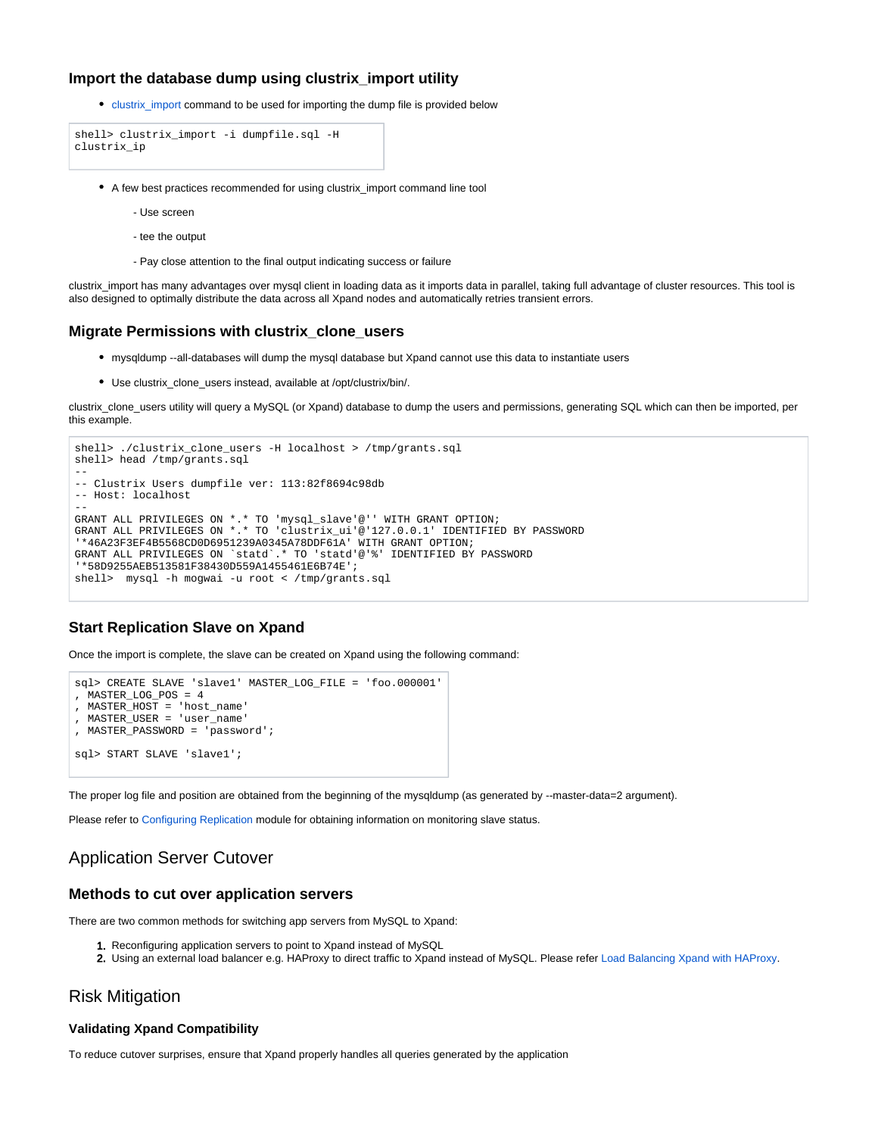## **Import the database dump using clustrix\_import utility**

• [clustrix\\_import](https://docs.clustrix.com/display/CLXDOC/clustrix_import) command to be used for importing the dump file is provided below

```
shell> clustrix_import -i dumpfile.sql -H
clustrix_ip
```
- A few best practices recommended for using clustrix\_import command line tool
	- Use screen
	- tee the output
	- Pay close attention to the final output indicating success or failure

clustrix\_import has many advantages over mysql client in loading data as it imports data in parallel, taking full advantage of cluster resources. This tool is also designed to optimally distribute the data across all Xpand nodes and automatically retries transient errors.

## <span id="page-1-0"></span>**Migrate Permissions with clustrix\_clone\_users**

- mysqldump --all-databases will dump the mysql database but Xpand cannot use this data to instantiate users
- Use clustrix\_clone\_users instead, available at /opt/clustrix/bin/.

clustrix\_clone\_users utility will query a MySQL (or Xpand) database to dump the users and permissions, generating SQL which can then be imported, per this example.

```
shell> ./clustrix_clone_users -H localhost > /tmp/grants.sql 
shell> head /tmp/grants.sql
--
-- Clustrix Users dumpfile ver: 113:82f8694c98db
-- Host: localhost
--
GRANT ALL PRIVILEGES ON *.* TO 'mysql_slave'@'' WITH GRANT OPTION;
GRANT ALL PRIVILEGES ON *.* TO 'clustrix_ui'@'127.0.0.1' IDENTIFIED BY PASSWORD 
'*46A23F3EF4B5568CD0D6951239A0345A78DDF61A' WITH GRANT OPTION;
GRANT ALL PRIVILEGES ON `statd`.* TO 'statd'@'%' IDENTIFIED BY PASSWORD 
'*58D9255AEB513581F38430D559A1455461E6B74E';
shell> mysql -h mogwai -u root < /tmp/grants.sql
```
## <span id="page-1-1"></span>**Start Replication Slave on Xpand**

Once the import is complete, the slave can be created on Xpand using the following command:

```
sql> CREATE SLAVE 'slave1' MASTER_LOG_FILE = 'foo.000001'
, MASTER_LOG_POS = 4
, MASTER_HOST = 'host_name'
, MASTER_USER = 'user_name'
, MASTER_PASSWORD = 'password';
sql> START SLAVE 'slave1';
```
The proper log file and position are obtained from the beginning of the mysqldump (as generated by --master-data=2 argument).

Please refer to [Configuring Replication](https://docs.clustrix.com/display/CLXDOC/Configuring+Replication) module for obtaining information on monitoring slave status.

## <span id="page-1-2"></span>Application Server Cutover

## <span id="page-1-3"></span>**Methods to cut over application servers**

There are two common methods for switching app servers from MySQL to Xpand:

- 1. Reconfiguring application servers to point to Xpand instead of MySQL
- 2. Using an external load balancer e.g. HAProxy to direct traffic to Xpand instead of MySQL. Please refer [Load Balancing Xpand with HAProxy](https://docs.clustrix.com/display/CLXDOC/Load+Balancing+Xpand+with+HAProxy).

## <span id="page-1-4"></span>Risk Mitigation

#### <span id="page-1-5"></span>**Validating Xpand Compatibility**

To reduce cutover surprises, ensure that Xpand properly handles all queries generated by the application